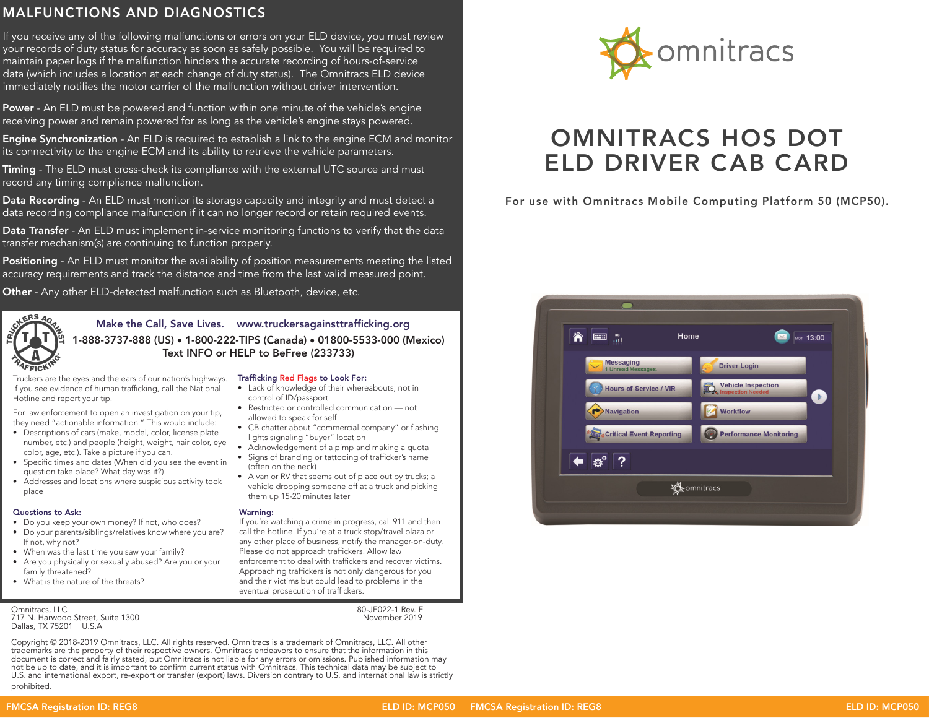## MALFUNCTIONS AND DIAGNOSTICS

If you receive any of the following malfunctions or errors on your ELD device, you must review your records of duty status for accuracy as soon as safely possible. You will be required to maintain paper logs if the malfunction hinders the accurate recording of hours-of-service data (which includes a location at each change of duty status). The Omnitracs ELD device immediately notifies the motor carrier of the malfunction without driver intervention.

Power - An ELD must be powered and function within one minute of the vehicle's engine receiving power and remain powered for as long as the vehicle's engine stays powered.

**Engine Synchronization** - An ELD is required to establish a link to the engine ECM and monitor its connectivity to the engine ECM and its ability to retrieve the vehicle parameters.

Timing - The ELD must cross-check its compliance with the external UTC source and must record any timing compliance malfunction.

**Data Recording** - An ELD must monitor its storage capacity and integrity and must detect a data recording compliance malfunction if it can no longer record or retain required events.

Data Transfer - An ELD must implement in-service monitoring functions to verify that the data transfer mechanism(s) are continuing to function properly.

Positioning - An ELD must monitor the availability of position measurements meeting the listed accuracy requirements and track the distance and time from the last valid measured point.

Other - Any other ELD-detected malfunction such as Bluetooth, device, etc.



Make the Call, Save Lives. www.truckersagainsttrafficking.org 1-888-3737-888 (US) • 1-800-222-TIPS (Canada) • 01800-5533-000 (Mexico) Text INFO or HELP to BeFree (233733)

Truckers are the eyes and the ears of our nation's highways. **Trafficking Red Flags to Look For:** If you see evidence of human trafficking, call the National Hotline and report your tip.

For law enforcement to open an investigation on your tip, they need "actionable information." This would include:

- Descriptions of cars (make, model, color, license plate number, etc.) and people (height, weight, hair color, eye color, age, etc.). Take a picture if you can.
- Specific times and dates (When did you see the event in question take place? What day was it?)
- Addresses and locations where suspicious activity took place

### Questions to Ask:

- Do you keep your own money? If not, who does?
- Do your parents/siblings/relatives know where you are?
- If not, why not?
- When was the last time you saw your family?
- Are you physically or sexually abused? Are you or your family threatened?
- What is the nature of the threats?

Omnitracs, LLC 80-JE022-1 Rev. E 717 N. Harwood Street, Suite 1300 November 2019 Dallas, TX 75201 U.S.A

- Lack of knowledge of their whereabouts; not in control of ID/passport
- Restricted or controlled communication not allowed to speak for self
- CB chatter about "commercial company" or flashing lights signaling "buyer" location
- Acknowledgement of a pimp and making a quota • Signs of branding or tattooing of trafficker's name
- (often on the neck) • A van or RV that seems out of place out by trucks; a
- vehicle dropping someone off at a truck and picking them up 15-20 minutes later

### Warning:

- If you're watching a crime in progress, call 911 and then call the hotline. If you're at a truck stop/travel plaza or any other place of business, notify the manager-on-duty. Please do not approach traffickers. Allow law enforcement to deal with traffickers and recover victims.
- Approaching traffickers is not only dangerous for you and their victims but could lead to problems in the eventual prosecution of traffickers.

Copyright © 2018-2019 Omnitracs, LLC. All rights reserved. Omnitracs is a trademark of Omnitracs, LLC. All other trademarks are the property of their respective owners. Omnitracs endeavors to ensure that the information in this document is correct and fairly stated, but Omnitracs is not liable for any errors or omissions. Published information may not be up to date, and it is important to confirm current status with Omnitracs. This technical data may be subject to U.S. and international export, re-export or transfer (export) laws. Diversion contrary to U.S. and international law is strictly prohibited.



# OMNITRACS HOS DOT ELD DRIVER CAB CARD

For use with Omnitracs Mobile Computing Platform 50 (MCP50).